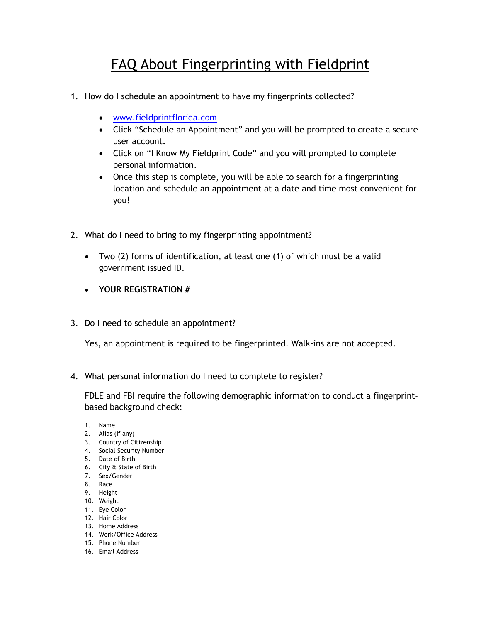## FAQ About Fingerprinting with Fieldprint

- 1. How do I schedule an appointment to have my fingerprints collected?
	- [www.fieldprintflorida.com](http://www.fieldprintflorida.com/)
	- Click "Schedule an Appointment" and you will be prompted to create a secure user account.
	- Click on "I Know My Fieldprint Code" and you will prompted to complete personal information.
	- Once this step is complete, you will be able to search for a fingerprinting location and schedule an appointment at a date and time most convenient for you!
- 2. What do I need to bring to my fingerprinting appointment?
	- Two (2) forms of identification, at least one (1) of which must be a valid government issued ID.
	- **YOUR REGISTRATION #**
- 3. Do I need to schedule an appointment?

Yes, an appointment is required to be fingerprinted. Walk-ins are not accepted.

4. What personal information do I need to complete to register?

FDLE and FBI require the following demographic information to conduct a fingerprintbased background check:

- 1. Name
- 2. Alias (if any)
- 3. Country of Citizenship
- 4. Social Security Number
- 5. Date of Birth
- 6. City & State of Birth
- 7. Sex/Gender
- 8. Race
- 9. Height
- 10. Weight
- 11. Eye Color
- 12. Hair Color
- 13. Home Address
- 14. Work/Office Address 15. Phone Number
- 16. Email Address